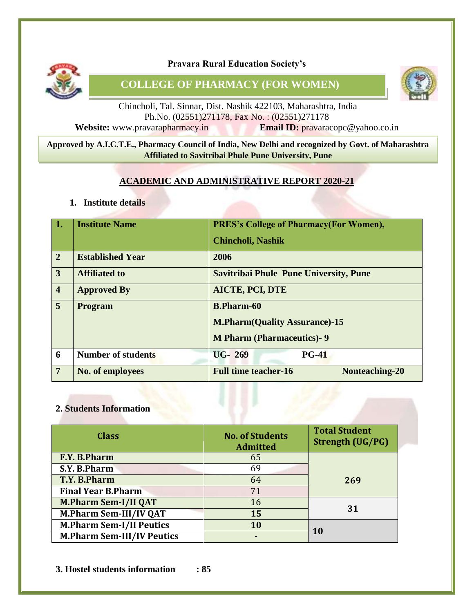

**Pravara Rural Education Society's**

**COLLEGE OF PHARMACY (FOR WOMEN)**



Chincholi, Tal. Sinnar, Dist. Nashik 422103, Maharashtra, India Ph.No. (02551)271178, Fax No. : (02551)271178 **Website:** www.pravarapharmacy.in **Email ID:** pravaracopc@yahoo.co.in

#### 8 **Approved by A.I.C.T.E., Pharmacy Council of India, New Delhi and recognized by Govt. of Maharashtra Affiliated to Savitribai Phule Pune University, Pune**

#### **ACADEMIC AND ADMINISTRATIVE REPORT 2020-21**

**1. Institute details**

| $\overline{1}$ . | <b>Institute Name</b>     | <b>PRES's College of Pharmacy (For Women),</b><br><b>Chincholi, Nashik</b>                    |  |  |  |  |
|------------------|---------------------------|-----------------------------------------------------------------------------------------------|--|--|--|--|
| $\overline{2}$   | <b>Established Year</b>   | 2006                                                                                          |  |  |  |  |
| $\overline{3}$   | <b>Affiliated to</b>      | <b>Savitribai Phule Pune University, Pune</b>                                                 |  |  |  |  |
| $\vert 4$        | <b>Approved By</b>        | <b>AICTE, PCI, DTE</b>                                                                        |  |  |  |  |
| $\overline{5}$   | <b>Program</b>            | <b>B.Pharm-60</b><br><b>M.Pharm(Quality Assurance)-15</b><br><b>M Pharm (Pharmaceutics)-9</b> |  |  |  |  |
| 6                | <b>Number of students</b> | <b>UG-269</b><br><b>PG-41</b>                                                                 |  |  |  |  |
| $7\overline{ }$  | No. of employees          | <b>Full time teacher-16</b><br>Nonteaching-20                                                 |  |  |  |  |

#### **2. Students Information**

| <b>Class</b>                      | <b>No. of Students</b><br><b>Admitted</b> | <b>Total Student</b><br><b>Strength (UG/PG)</b> |
|-----------------------------------|-------------------------------------------|-------------------------------------------------|
| F.Y. B.Pharm                      | 65                                        |                                                 |
| S.Y. B.Pharm                      | 69                                        |                                                 |
| T.Y. B.Pharm                      | 64                                        | 269                                             |
| <b>Final Year B.Pharm</b>         | 71                                        |                                                 |
| <b>M.Pharm Sem-I/II QAT</b>       | 16                                        | 31                                              |
| <b>M.Pharm Sem-III/IV QAT</b>     | 15                                        |                                                 |
| <b>M.Pharm Sem-I/II Peutics</b>   | 10                                        | <b>10</b>                                       |
| <b>M.Pharm Sem-III/IV Peutics</b> |                                           |                                                 |

**3. Hostel students information : 85**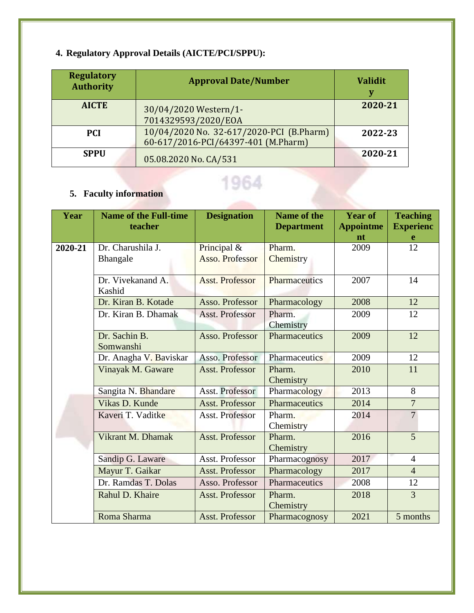# **4. Regulatory Approval Details (AICTE/PCI/SPPU):**

**5. Faculty information**

| <b>Regulatory</b><br><b>Authority</b> | <b>Approval Date/Number</b>                                                     | <b>Validit</b><br>v |
|---------------------------------------|---------------------------------------------------------------------------------|---------------------|
| <b>AICTE</b>                          | 30/04/2020 Western/1-<br>7014329593/2020/EOA                                    | 2020-21             |
| <b>PCI</b>                            | 10/04/2020 No. 32-617/2020-PCI (B.Pharm)<br>60-617/2016-PCI/64397-401 (M.Pharm) | 2022-23             |
| <b>SPPU</b>                           | 05.08.2020 No. CA/531                                                           | 2020-21             |

# 1964

| Year    | <b>Name of the Full-time</b><br>teacher                              | <b>Designation</b>               | <b>Name of the</b><br><b>Department</b> | <b>Year of</b><br><b>Appointme</b> | <b>Teaching</b><br><b>Experienc</b> |
|---------|----------------------------------------------------------------------|----------------------------------|-----------------------------------------|------------------------------------|-------------------------------------|
|         |                                                                      |                                  |                                         | nt                                 | e                                   |
| 2020-21 | Dr. Charushila J.                                                    | Principal &                      | Pharm.                                  | 2009                               | 12                                  |
|         | Bhangale                                                             | <b>Asso. Professor</b>           | Chemistry                               |                                    |                                     |
|         | Dr. Vivekanand A.<br>Kashid                                          | <b>Asst. Professor</b>           | Pharmaceutics                           | 2007                               | 14                                  |
|         | Dr. Kiran B. Kotade                                                  | Asso. Professor                  | Pharmacology                            | 2008                               | 12                                  |
|         | Dr. Kiran B. Dhamak<br><b>Asst. Professor</b><br>Pharm.<br>Chemistry |                                  | 2009                                    | 12                                 |                                     |
|         | Dr. Sachin B.<br>Somwanshi                                           | Pharmaceutics<br>Asso. Professor |                                         | 2009                               | 12                                  |
|         | Dr. Anagha V. Baviskar                                               | Asso. Professor                  | <b>Pharmaceutics</b>                    | 2009                               | 12                                  |
|         | Vinayak M. Gaware                                                    | Asst. Professor                  | Pharm.<br>Chemistry                     | 2010                               | 11                                  |
|         | Sangita N. Bhandare                                                  | Asst. Professor                  | Pharmacology                            | 2013                               | 8                                   |
|         | Vikas D. Kunde                                                       | <b>Asst. Professor</b>           | Pharmaceutics                           | 2014                               | $\overline{7}$                      |
|         | Kaveri T. Vaditke                                                    | Asst. Professor                  | Pharm.<br>Chemistry                     | 2014                               | $\overline{7}$                      |
|         | Vikrant M. Dhamak                                                    | <b>Asst. Professor</b>           | Pharm.<br>Chemistry                     | 2016                               | 5                                   |
|         | Sandip G. Laware                                                     | Asst. Professor                  | Pharmacognosy                           | 2017                               | $\overline{4}$                      |
|         | Mayur T. Gaikar                                                      | <b>Asst. Professor</b>           | Pharmacology                            | 2017                               | $\overline{4}$                      |
|         | Dr. Ramdas T. Dolas                                                  | Asso. Professor                  | Pharmaceutics                           | 2008                               | 12                                  |
|         | Rahul D. Khaire                                                      | Asst. Professor                  | Pharm.<br>Chemistry                     | 2018                               | $\overline{3}$                      |
|         | Roma Sharma                                                          | <b>Asst. Professor</b>           | Pharmacognosy                           | 2021                               | 5 months                            |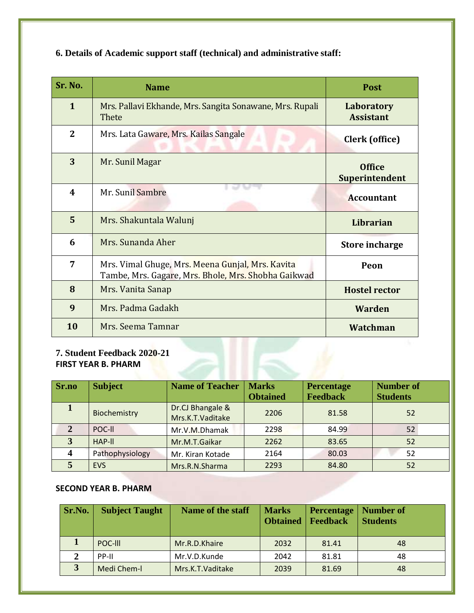| Sr. No.                                                   | <b>Name</b>                                                                                             | <b>Post</b>                     |  |  |  |
|-----------------------------------------------------------|---------------------------------------------------------------------------------------------------------|---------------------------------|--|--|--|
| $\mathbf{1}$                                              | Mrs. Pallavi Ekhande, Mrs. Sangita Sonawane, Mrs. Rupali<br>Thete                                       | Laboratory<br><b>Assistant</b>  |  |  |  |
| $\overline{2}$                                            | Mrs. Lata Gaware, Mrs. Kailas Sangale                                                                   | Clerk (office)                  |  |  |  |
| 3                                                         | Mr. Sunil Magar                                                                                         | <b>Office</b><br>Superintendent |  |  |  |
| 4                                                         | Mr. Sunil Sambre                                                                                        | <b>Accountant</b>               |  |  |  |
| 5                                                         | Mrs. Shakuntala Walunj                                                                                  | Librarian                       |  |  |  |
| 6                                                         | Mrs. Sunanda Aher                                                                                       | <b>Store incharge</b>           |  |  |  |
| 7                                                         | Mrs. Vimal Ghuge, Mrs. Meena Gunjal, Mrs. Kavita<br>Tambe, Mrs. Gagare, Mrs. Bhole, Mrs. Shobha Gaikwad | Peon                            |  |  |  |
| 8                                                         | Mrs. Vanita Sanap                                                                                       | <b>Hostel rector</b>            |  |  |  |
| 9                                                         | Mrs. Padma Gadakh                                                                                       | Warden                          |  |  |  |
| 10                                                        | Mrs. Seema Tamnar                                                                                       | Watchman                        |  |  |  |
| 7. Student Feedback 2020-21<br><b>FIRST YEAR B. PHARM</b> |                                                                                                         |                                 |  |  |  |

### **6. Details of Academic support staff (technical) and administrative staff:**

#### **7. Student Feedback 2020-21 FIRST YEAR B. PHARM**

| Sr.no | <b>Subject</b>  | <b>Name of Teacher</b>               | <b>Marks</b>    | <b>Percentage</b> | <b>Number of</b> |
|-------|-----------------|--------------------------------------|-----------------|-------------------|------------------|
|       |                 |                                      | <b>Obtained</b> | <b>Feedback</b>   | <b>Students</b>  |
|       | Biochemistry    | Dr.CJ Bhangale &<br>Mrs.K.T.Vaditake | 2206            | 81.58             | 52               |
|       |                 |                                      |                 |                   |                  |
| 2     | POC-II          | Mr.V.M.Dhamak                        | 2298            | 84.99             | 52               |
| 3     | HAP-II          | Mr.M.T.Gaikar                        | 2262            | 83.65             | 52               |
| 4     | Pathophysiology | Mr. Kiran Kotade                     | 2164            | 80.03             | 52               |
|       | <b>EVS</b>      | Mrs.R.N.Sharma                       | 2293            | 84.80             | 52               |

#### **SECOND YEAR B. PHARM**

| Sr.No.       | <b>Subject Taught</b> | Name of the staff | <b>Marks</b><br><b>Obtained</b> | <b>Percentage</b><br><b>Feedback</b> | Number of<br><b>Students</b> |
|--------------|-----------------------|-------------------|---------------------------------|--------------------------------------|------------------------------|
|              | POC-III               | Mr.R.D.Khaire     | 2032                            | 81.41                                | 48                           |
| $\mathbf{2}$ | PP-II                 | Mr.V.D.Kunde      | 2042                            | 81.81                                | 48                           |
| 3            | Medi Chem-I           | Mrs.K.T.Vaditake  | 2039                            | 81.69                                | 48                           |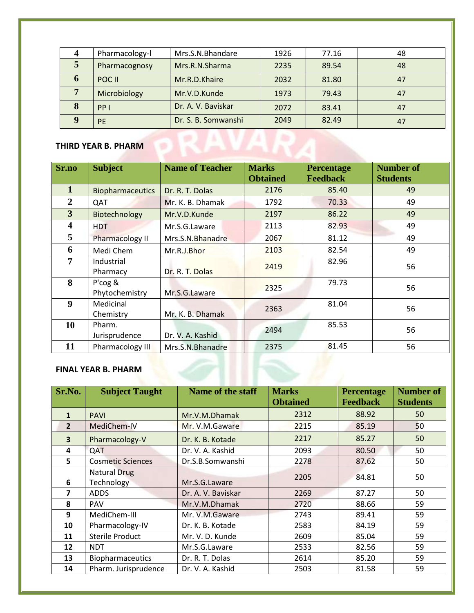|                            | Pharmacology-l | Mrs.S.N.Bhandare    | 1926 | 77.16 | 48 |  |
|----------------------------|----------------|---------------------|------|-------|----|--|
| 5                          | Pharmacognosy  | Mrs.R.N.Sharma      | 2235 | 89.54 | 48 |  |
| 6                          | POC II         | Mr.R.D.Khaire       | 2032 | 81.80 | 47 |  |
| $\overline{7}$             | Microbiology   | Mr.V.D.Kunde        | 1973 | 79.43 | 47 |  |
| 8                          | PPI            | Dr. A. V. Baviskar  | 2072 | 83.41 | 47 |  |
| 9                          | <b>PE</b>      | Dr. S. B. Somwanshi | 2049 | 82.49 | 47 |  |
| <b>THIRD YEAR B. PHARM</b> |                |                     |      |       |    |  |

| Sr.no                   | <b>Subject</b>            | <b>Name of Teacher</b> | <b>Marks</b><br><b>Obtained</b> | <b>Percentage</b><br><b>Feedback</b> | <b>Number of</b><br><b>Students</b> |
|-------------------------|---------------------------|------------------------|---------------------------------|--------------------------------------|-------------------------------------|
| $\mathbf{1}$            | <b>Biopharmaceutics</b>   | Dr. R. T. Dolas        | 2176                            | 85.40                                | 49                                  |
| $\overline{2}$          | QAT                       | Mr. K. B. Dhamak       | 1792                            | 70.33                                | 49                                  |
| 3                       | Biotechnology             | Mr.V.D.Kunde           | 2197                            | 86.22                                | 49                                  |
| $\overline{\mathbf{4}}$ | <b>HDT</b>                | Mr.S.G.Laware          | 2113                            | 82.93                                | 49                                  |
| 5                       | Pharmacology II           | Mrs.S.N.Bhanadre       | 2067                            | 81.12                                | 49                                  |
| 6                       | Medi Chem                 | Mr.R.J.Bhor            | 2103                            | 82.54                                | 49                                  |
| $\overline{7}$          | Industrial<br>Pharmacy    | Dr. R. T. Dolas        | 2419                            | 82.96                                | 56                                  |
| 8                       | P'cog &<br>Phytochemistry | Mr.S.G.Laware          | 2325                            | 79.73                                | 56                                  |
| 9                       | Medicinal<br>Chemistry    | Mr. K. B. Dhamak       | 2363                            | 81.04                                | 56                                  |
| 10                      | Pharm.<br>Jurisprudence   | Dr. V. A. Kashid       | 2494                            | 85.53                                | 56                                  |
| 11                      | Pharmacology III          | Mrs.S.N.Bhanadre       | 2375                            | 81.45                                | 56                                  |

#### **FINAL YEAR B. PHARM**

| Sr.No.         | <b>Subject Taught</b>             | Name of the staff  | <b>Marks</b><br><b>Obtained</b> | <b>Percentage</b><br><b>Feedback</b> | <b>Number of</b><br><b>Students</b> |
|----------------|-----------------------------------|--------------------|---------------------------------|--------------------------------------|-------------------------------------|
| $\mathbf{1}$   | <b>PAVI</b>                       | Mr.V.M.Dhamak      | 2312                            | 88.92                                | 50                                  |
| $\overline{2}$ | MediChem-IV                       | Mr. V.M.Gaware     | 2215                            | 85.19                                | 50                                  |
| 3              | Pharmacology-V                    | Dr. K. B. Kotade   | 2217                            | 85.27                                | 50                                  |
| 4              | QAT                               | Dr. V. A. Kashid   | 2093                            | 80.50                                | 50                                  |
| 5              | <b>Cosmetic Sciences</b>          | Dr.S.B.Somwanshi   | 2278                            | 87.62                                | 50                                  |
| 6              | <b>Natural Drug</b><br>Technology | Mr.S.G.Laware      | 2205                            | 84.81                                | 50                                  |
| 7              | <b>ADDS</b>                       | Dr. A. V. Baviskar | 2269                            | 87.27                                | 50                                  |
| 8              | PAV                               | Mr.V.M.Dhamak      | 2720                            | 88.66                                | 59                                  |
| 9              | MediChem-III                      | Mr. V.M.Gaware     | 2743                            | 89.41                                | 59                                  |
| 10             | Pharmacology-IV                   | Dr. K. B. Kotade   | 2583                            | 84.19                                | 59                                  |
| 11             | <b>Sterile Product</b>            | Mr. V. D. Kunde    | 2609                            | 85.04                                | 59                                  |
| 12             | <b>NDT</b>                        | Mr.S.G.Laware      | 2533                            | 82.56                                | 59                                  |
| 13             | <b>Biopharmaceutics</b>           | Dr. R. T. Dolas    | 2614                            | 85.20                                | 59                                  |
| 14             | Pharm. Jurisprudence              | Dr. V. A. Kashid   | 2503                            | 81.58                                | 59                                  |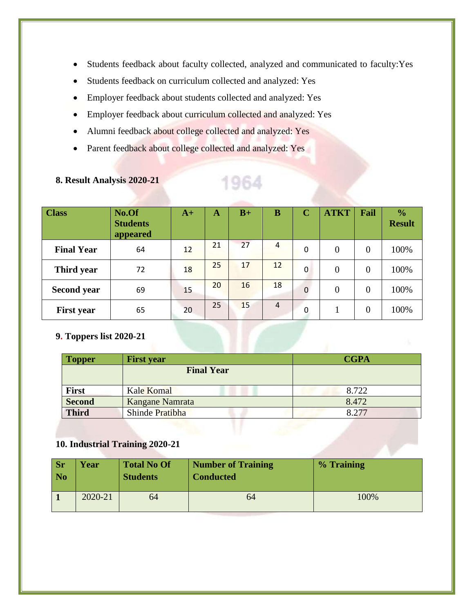- Students feedback about faculty collected, analyzed and communicated to faculty:Yes
- Students feedback on curriculum collected and analyzed: Yes
- Employer feedback about students collected and analyzed: Yes
- Employer feedback about curriculum collected and analyzed: Yes
- Alumni feedback about college collected and analyzed: Yes
- Parent feedback about college collected and analyzed: Yes

| <b>Class</b>       | No.Of<br><b>Students</b><br>appeared | $A+$ | A  | $B+$ | B              | $\mathbf C$  | <b>ATKT</b> | Fail           | $\frac{0}{0}$<br><b>Result</b> |
|--------------------|--------------------------------------|------|----|------|----------------|--------------|-------------|----------------|--------------------------------|
| <b>Final Year</b>  | 64                                   | 12   | 21 | 27   | 4              | $\Omega$     | $\theta$    | $\theta$       | 100%                           |
| Third year         | 72                                   | 18   | 25 | 17   | 12             | $\Omega$     | $\theta$    | $\overline{0}$ | 100%                           |
| <b>Second year</b> | 69                                   | 15   | 20 | 16   | 18             | $\mathbf{0}$ | $\theta$    | $\overline{0}$ | 100%                           |
| <b>First year</b>  | 65                                   | 20   | 25 | 15   | $\overline{4}$ | $\Omega$     |             | $\overline{0}$ | 100%                           |

1964

#### **8. Result Analysis 2020-21**

#### **9. Toppers list 2020-21**

| <b>Topper</b> | <b>First year</b> | <b>CGPA</b> |
|---------------|-------------------|-------------|
|               | <b>Final Year</b> |             |
| First         | Kale Komal        | 8.722       |
| <b>Second</b> | Kangane Namrata   | 8.472       |
| <b>Third</b>  | Shinde Pratibha   | 8 2 7 7     |

#### **10. Industrial Training 2020-21**

| <b>Sr</b><br>$\overline{\phantom{a}}$ No | Year    | <b>Total No Of</b><br><b>Students</b> | <b>Number of Training</b><br><b>Conducted</b> | % Training |
|------------------------------------------|---------|---------------------------------------|-----------------------------------------------|------------|
|                                          | 2020-21 | 64                                    | 64                                            | 100%       |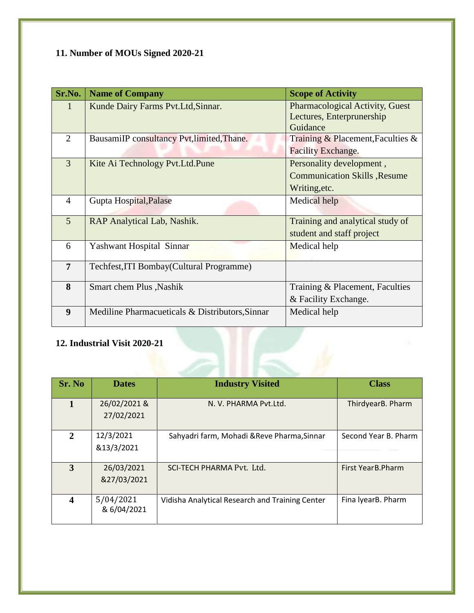# **11. Number of MOUs Signed 2020-21**

| <b>Name of Company</b>                          | <b>Scope of Activity</b>                                                 |
|-------------------------------------------------|--------------------------------------------------------------------------|
| Kunde Dairy Farms Pvt. Ltd, Sinnar.             | Pharmacological Activity, Guest<br>Lectures, Enterprunership             |
|                                                 | Guidance                                                                 |
| BausamiIP consultancy Pvt, limited, Thane.      | Training & Placement, Faculties $\&$                                     |
|                                                 | <b>Facility Exchange.</b>                                                |
| Kite Ai Technology Pvt. Ltd. Pune               | Personality development,                                                 |
|                                                 | <b>Communication Skills , Resume</b>                                     |
|                                                 | Writing, etc.                                                            |
| Gupta Hospital, Palase                          | Medical help                                                             |
|                                                 | Training and analytical study of                                         |
|                                                 | student and staff project                                                |
| Yashwant Hospital Sinnar                        | Medical help                                                             |
|                                                 |                                                                          |
|                                                 |                                                                          |
| Smart chem Plus , Nashik                        | Training & Placement, Faculties                                          |
|                                                 | & Facility Exchange.                                                     |
| Mediline Pharmacueticals & Distributors, Sinnar | Medical help                                                             |
|                                                 | RAP Analytical Lab, Nashik.<br>Techfest, ITI Bombay (Cultural Programme) |

#### **12. Industrial Visit 2020-21**

| Sr. No           | <b>Dates</b>               | <b>Industry Visited</b>                         | <b>Class</b>         |
|------------------|----------------------------|-------------------------------------------------|----------------------|
| $\mathbf{1}$     | 26/02/2021 &<br>27/02/2021 | N. V. PHARMA Pyt.Ltd.                           | ThirdyearB. Pharm    |
| 2                | 12/3/2021<br>&13/3/2021    | Sahyadri farm, Mohadi & Reve Pharma, Sinnar     | Second Year B. Pharm |
| 3                | 26/03/2021<br>&27/03/2021  | SCI-TECH PHARMA Pvt. Ltd.                       | First YearB.Pharm    |
| $\boldsymbol{4}$ | 5/04/2021<br>& 6/04/2021   | Vidisha Analytical Research and Training Center | Fina IyearB. Pharm   |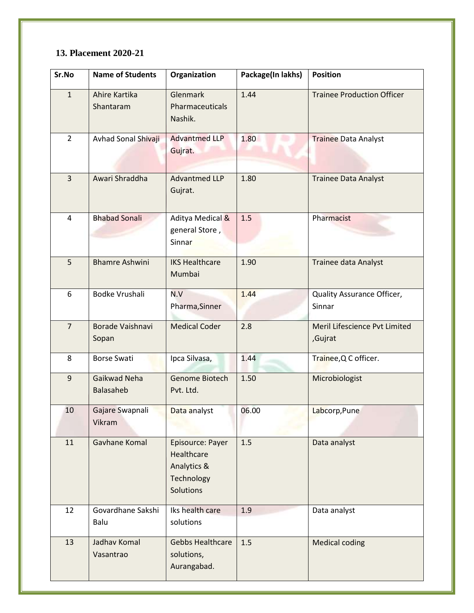#### **13. Placement 2020-21**

| Sr.No          | <b>Name of Students</b>    | Organization                                                                    | Package(In lakhs) | <b>Position</b>                          |
|----------------|----------------------------|---------------------------------------------------------------------------------|-------------------|------------------------------------------|
| $\mathbf{1}$   | Ahire Kartika<br>Shantaram | Glenmark<br>Pharmaceuticals<br>Nashik.                                          | 1.44              | <b>Trainee Production Officer</b>        |
| $\overline{2}$ | Avhad Sonal Shivaji        | <b>Advantmed LLP</b><br>Gujrat.                                                 | 1.80              | <b>Trainee Data Analyst</b>              |
| $\overline{3}$ | Awari Shraddha             | Advantmed LLP<br>Gujrat.                                                        | 1.80              | <b>Trainee Data Analyst</b>              |
| $\overline{4}$ | <b>Bhabad Sonali</b>       | Aditya Medical &<br>general Store,<br>Sinnar                                    | 1.5               | Pharmacist                               |
| 5              | <b>Bhamre Ashwini</b>      | <b>IKS Healthcare</b><br>Mumbai                                                 | 1.90              | Trainee data Analyst                     |
| 6              | Bodke Vrushali             | N.V<br>Pharma, Sinner                                                           | 1.44              | Quality Assurance Officer,<br>Sinnar     |
| $\overline{7}$ | Borade Vaishnavi<br>Sopan  | <b>Medical Coder</b>                                                            | 2.8               | Meril Lifescience Pvt Limited<br>,Gujrat |
| 8              | <b>Borse Swati</b>         | Ipca Silvasa,                                                                   | 1.44              | Trainee, Q C officer.                    |
| $\overline{9}$ | Gaikwad Neha<br>Balasaheb  | Genome Biotech<br>Pvt. Ltd.                                                     | 1.50              | Microbiologist                           |
| 10             | Gajare Swapnali<br>Vikram  | Data analyst                                                                    | 06.00             | Labcorp, Pune                            |
| 11             | Gavhane Komal              | Episource: Payer<br>Healthcare<br>Analytics &<br>Technology<br><b>Solutions</b> | 1.5               | Data analyst                             |
| 12             | Govardhane Sakshi<br>Balu  | Iks health care<br>solutions                                                    | 1.9               | Data analyst                             |
| 13             | Jadhav Komal<br>Vasantrao  | <b>Gebbs Healthcare</b><br>solutions,<br>Aurangabad.                            | 1.5               | <b>Medical coding</b>                    |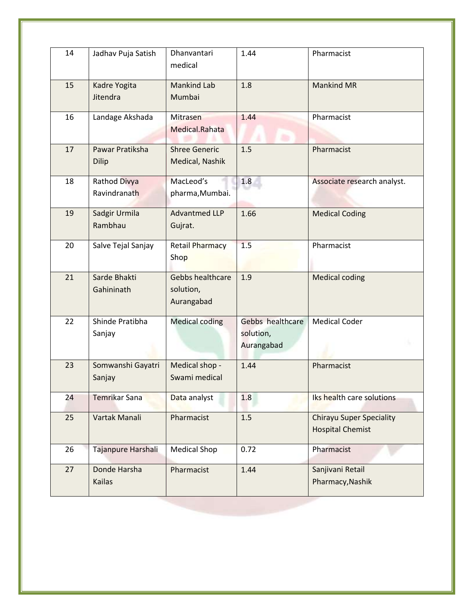| 14 | Jadhav Puja Satish              | Dhanvantari<br>medical                      | 1.44                                        | Pharmacist                                                 |
|----|---------------------------------|---------------------------------------------|---------------------------------------------|------------------------------------------------------------|
| 15 | Kadre Yogita<br>Jitendra        | <b>Mankind Lab</b><br>Mumbai                | 1.8                                         | <b>Mankind MR</b>                                          |
| 16 | Landage Akshada                 | Mitrasen<br>Medical.Rahata                  | 1.44                                        | Pharmacist                                                 |
| 17 | Pawar Pratiksha<br><b>Dilip</b> | <b>Shree Generic</b><br>Medical, Nashik     | 1.5                                         | Pharmacist                                                 |
| 18 | Rathod Divya<br>Ravindranath    | MacLeod's<br>pharma, Mumbai.                | 1.8                                         | Associate research analyst.                                |
| 19 | Sadgir Urmila<br>Rambhau        | <b>Advantmed LLP</b><br>Gujrat.             | 1.66                                        | <b>Medical Coding</b>                                      |
| 20 | Salve Tejal Sanjay              | <b>Retail Pharmacy</b><br>Shop              | 1.5                                         | Pharmacist                                                 |
| 21 | Sarde Bhakti<br>Gahininath      | Gebbs healthcare<br>solution,<br>Aurangabad | 1.9                                         | <b>Medical coding</b>                                      |
| 22 | Shinde Pratibha<br>Sanjay       | <b>Medical coding</b>                       | Gebbs healthcare<br>solution,<br>Aurangabad | <b>Medical Coder</b>                                       |
| 23 | Somwanshi Gayatri<br>Sanjay     | Medical shop -<br>Swami medical             | 1.44                                        | Pharmacist                                                 |
| 24 | Temrikar Sana                   | Data analyst                                | 1.8                                         | Iks health care solutions                                  |
| 25 | Vartak Manali                   | Pharmacist                                  | 1.5                                         | <b>Chirayu Super Speciality</b><br><b>Hospital Chemist</b> |
| 26 | Tajanpure Harshali              | <b>Medical Shop</b>                         | 0.72                                        | Pharmacist                                                 |
| 27 | Donde Harsha<br>Kailas          | Pharmacist                                  | 1.44                                        | Sanjivani Retail<br>Pharmacy, Nashik                       |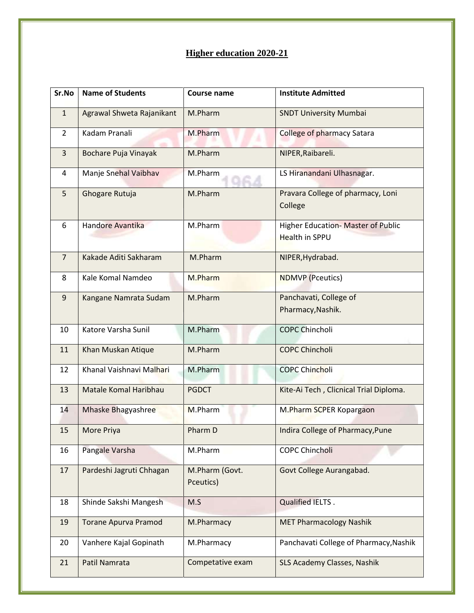#### **Higher education 2020-21**

| Sr.No          | <b>Name of Students</b>      | <b>Course name</b>          | <b>Institute Admitted</b>                                   |
|----------------|------------------------------|-----------------------------|-------------------------------------------------------------|
| $\mathbf{1}$   | Agrawal Shweta Rajanikant    | M.Pharm                     | <b>SNDT University Mumbai</b>                               |
| $\overline{2}$ | Kadam Pranali                | M.Pharm                     | <b>College of pharmacy Satara</b>                           |
| $\overline{3}$ | Bochare Puja Vinayak         | M.Pharm                     | NIPER, Raibareli.                                           |
| 4              | Manje Snehal Vaibhav         | M.Pharm                     | LS Hiranandani Ulhasnagar.                                  |
| 5              | Ghogare Rutuja               | M.Pharm                     | Pravara College of pharmacy, Loni<br>College                |
| 6              | Handore Avantika             | M.Pharm                     | Higher Education- Master of Public<br><b>Health in SPPU</b> |
| $\overline{7}$ | Kakade Aditi Sakharam        | M.Pharm                     | NIPER, Hydrabad.                                            |
| 8              | Kale Komal Namdeo            | M.Pharm                     | <b>NDMVP</b> (Pceutics)                                     |
| 9              | Kangane Namrata Sudam        | M.Pharm                     | Panchavati, College of<br>Pharmacy, Nashik.                 |
| 10             | Katore Varsha Sunil          | M.Pharm                     | <b>COPC Chincholi</b>                                       |
| 11             | Khan Muskan Atique           | M.Pharm                     | <b>COPC Chincholi</b>                                       |
| 12             | Khanal Vaishnavi Malhari     | M.Pharm                     | <b>COPC Chincholi</b>                                       |
| 13             | <b>Matale Komal Haribhau</b> | <b>PGDCT</b>                | Kite-Ai Tech, Clicnical Trial Diploma.                      |
| 14             | Mhaske Bhagyashree           | M.Pharm                     | M.Pharm SCPER Kopargaon                                     |
| 15             | More Priya                   | Pharm D                     | Indira College of Pharmacy, Pune                            |
| 16             | Pangale Varsha               | M.Pharm                     | <b>COPC Chincholi</b>                                       |
| 17             | Pardeshi Jagruti Chhagan     | M.Pharm (Govt.<br>Pceutics) | Govt College Aurangabad.                                    |
| 18             | Shinde Sakshi Mangesh        | M.S                         | <b>Qualified IELTS.</b>                                     |
| 19             | <b>Torane Apurva Pramod</b>  | M.Pharmacy                  | <b>MET Pharmacology Nashik</b>                              |
| 20             | Vanhere Kajal Gopinath       | M.Pharmacy                  | Panchavati College of Pharmacy, Nashik                      |
| 21             | Patil Namrata                | Competative exam            | SLS Academy Classes, Nashik                                 |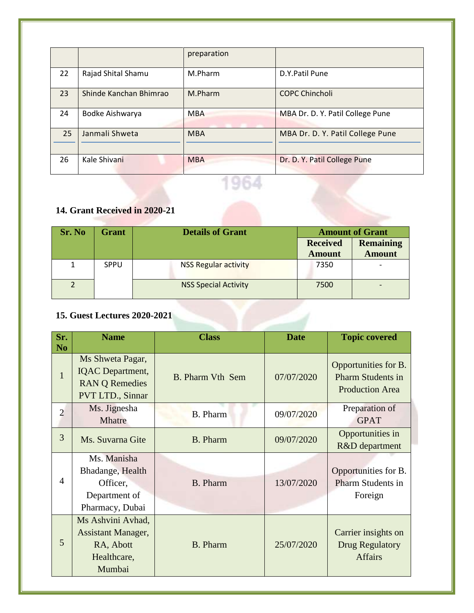|    |                        | preparation |                                  |
|----|------------------------|-------------|----------------------------------|
| 22 | Rajad Shital Shamu     | M.Pharm     | D.Y.Patil Pune                   |
| 23 | Shinde Kanchan Bhimrao | M.Pharm     | <b>COPC Chincholi</b>            |
| 24 | Bodke Aishwarya        | <b>MBA</b>  | MBA Dr. D. Y. Patil College Pune |
| 25 | Janmali Shweta         | <b>MBA</b>  | MBA Dr. D. Y. Patil College Pune |
|    |                        |             |                                  |
| 26 | Kale Shivani           | <b>MBA</b>  | Dr. D. Y. Patil College Pune     |

# 1964

#### **14. Grant Received in 2020-21**

| Sr. No | <b>Grant</b> | <b>Details of Grant</b>     | <b>Amount of Grant</b> |                  |  |
|--------|--------------|-----------------------------|------------------------|------------------|--|
|        |              |                             | <b>Received</b>        | <b>Remaining</b> |  |
|        |              |                             | <b>Amount</b>          | <b>Amount</b>    |  |
|        | <b>SPPU</b>  | <b>NSS Regular activity</b> | 7350                   |                  |  |
|        |              | <b>NSS Special Activity</b> | 7500                   |                  |  |

#### **15. Guest Lectures 2020-2021**

| Sr.<br>N <sub>o</sub> | <b>Name</b>                                                                              | <b>Class</b>            | <b>Date</b> | <b>Topic covered</b>                                                       |
|-----------------------|------------------------------------------------------------------------------------------|-------------------------|-------------|----------------------------------------------------------------------------|
| $\mathbf{1}$          | Ms Shweta Pagar,<br><b>IQAC</b> Department,<br><b>RAN Q Remedies</b><br>PVT LTD., Sinnar | <b>B.</b> Pharm Vth Sem | 07/07/2020  | Opportunities for B.<br><b>Pharm Students in</b><br><b>Production Area</b> |
| $\overline{2}$        | Ms. Jignesha<br><b>Mhatre</b>                                                            | <b>B.</b> Pharm         | 09/07/2020  | Preparation of<br><b>GPAT</b>                                              |
| 3                     | Ms. Suvarna Gite                                                                         | <b>B.</b> Pharm         | 09/07/2020  | Opportunities in<br>R&D department                                         |
| $\overline{4}$        | Ms. Manisha<br>Bhadange, Health<br>Officer,<br>Department of<br>Pharmacy, Dubai          | <b>B.</b> Pharm         | 13/07/2020  | Opportunities for B.<br>Pharm Students in<br>Foreign                       |
| 5                     | Ms Ashvini Avhad,<br><b>Assistant Manager,</b><br>RA, Abott<br>Healthcare,<br>Mumbai     | <b>B.</b> Pharm         | 25/07/2020  | Carrier insights on<br><b>Drug Regulatory</b><br><b>Affairs</b>            |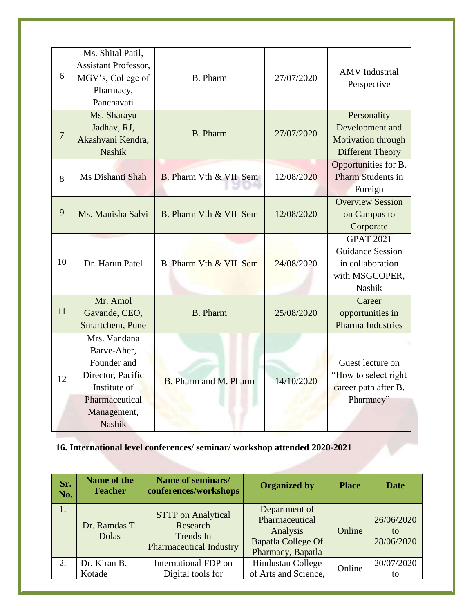| 6              | Ms. Shital Patil,<br><b>Assistant Professor,</b><br>MGV's, College of<br>Pharmacy,<br>Panchavati                                  | <b>B.</b> Pharm               | 27/07/2020 | <b>AMV</b> Industrial<br>Perspective                                                               |
|----------------|-----------------------------------------------------------------------------------------------------------------------------------|-------------------------------|------------|----------------------------------------------------------------------------------------------------|
| $\overline{7}$ | Ms. Sharayu<br>Jadhav, RJ,<br>Akashvani Kendra,<br><b>Nashik</b>                                                                  | <b>B.</b> Pharm               | 27/07/2020 | Personality<br>Development and<br>Motivation through<br><b>Different Theory</b>                    |
| 8              | Ms Dishanti Shah                                                                                                                  | <b>B.</b> Pharm Vth & VII Sem | 12/08/2020 | Opportunities for B.<br>Pharm Students in<br>Foreign                                               |
| 9              | Ms. Manisha Salvi                                                                                                                 | B. Pharm Vth & VII Sem        | 12/08/2020 | <b>Overview Session</b><br>on Campus to<br>Corporate                                               |
| 10             | Dr. Harun Patel                                                                                                                   | B. Pharm Vth & VII Sem        | 24/08/2020 | <b>GPAT 2021</b><br><b>Guidance Session</b><br>in collaboration<br>with MSGCOPER,<br><b>Nashik</b> |
| 11             | Mr. Amol<br>Gavande, CEO,<br>Smartchem, Pune                                                                                      | <b>B.</b> Pharm               | 25/08/2020 | Career<br>opportunities in<br><b>Pharma Industries</b>                                             |
| 12             | Mrs. Vandana<br>Barve-Aher,<br>Founder and<br>Director, Pacific<br>Institute of<br>Pharmaceutical<br>Management,<br><b>Nashik</b> | <b>B.</b> Pharm and M. Pharm  | 14/10/2020 | Guest lecture on<br>"How to select right<br>career path after B.<br>Pharmacy"                      |

#### **16. International level conferences/ seminar/ workshop attended 2020-2021**

| Sr.<br>No. | Name of the<br><b>Teacher</b> | Name of seminars/<br>conferences/workshops                                           | <b>Organized by</b>                                                                           | <b>Place</b> | <b>Date</b>                     |
|------------|-------------------------------|--------------------------------------------------------------------------------------|-----------------------------------------------------------------------------------------------|--------------|---------------------------------|
| 1.         | Dr. Ramdas T.<br>Dolas        | <b>STTP</b> on Analytical<br>Research<br>Trends In<br><b>Pharmaceutical Industry</b> | Department of<br>Pharmaceutical<br>Analysis<br><b>Bapatla College Of</b><br>Pharmacy, Bapatla | Online       | 26/06/2020<br>to.<br>28/06/2020 |
| 2.         | Dr. Kiran B.<br>Kotade        | International FDP on<br>Digital tools for                                            | <b>Hindustan College</b><br>of Arts and Science,                                              | Online       | 20/07/2020<br>to                |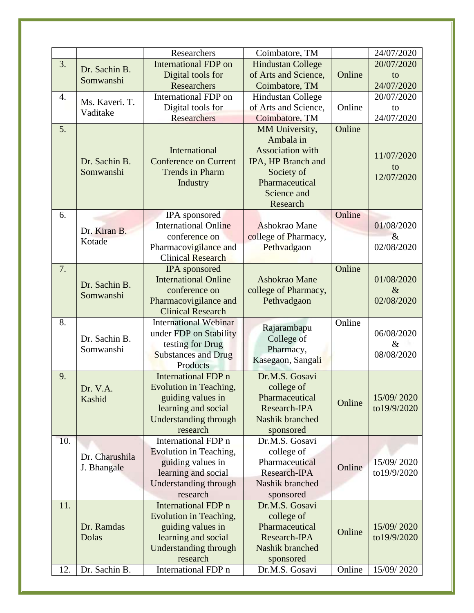|     |                | Researchers                                       | Coimbatore, TM                  |        | 24/07/2020         |
|-----|----------------|---------------------------------------------------|---------------------------------|--------|--------------------|
| 3.  |                | <b>International FDP</b> on                       | <b>Hindustan College</b>        |        | 20/07/2020         |
|     | Dr. Sachin B.  | Digital tools for                                 | of Arts and Science,            | Online | to                 |
|     | Somwanshi      | <b>Researchers</b>                                | Coimbatore, TM                  |        | 24/07/2020         |
| 4.  | Ms. Kaveri. T. | International FDP on                              | <b>Hindustan College</b>        |        | 20/07/2020         |
|     | Vaditake       | Digital tools for                                 | of Arts and Science,            | Online | to                 |
|     |                | <b>Researchers</b>                                | Coimbatore, TM                  |        | 24/07/2020         |
| 5.  |                |                                                   | MM University,                  | Online |                    |
|     |                |                                                   | Ambala in                       |        |                    |
|     |                | International                                     | <b>Association</b> with         |        | 11/07/2020         |
|     | Dr. Sachin B.  | <b>Conference on Current</b>                      | IPA, HP Branch and              |        | to                 |
|     | Somwanshi      | <b>Trends in Pharm</b>                            | Society of                      |        | 12/07/2020         |
|     |                | Industry                                          | Pharmaceutical                  |        |                    |
|     |                |                                                   | Science and                     |        |                    |
|     |                |                                                   | Research                        |        |                    |
| 6.  |                | IPA sponsored                                     |                                 | Online |                    |
|     | Dr. Kiran B.   | <b>International Online</b>                       | Ashokrao Mane                   |        | 01/08/2020         |
|     | Kotade         | conference on                                     | college of Pharmacy,            |        | $\&$<br>02/08/2020 |
|     |                | Pharmacovigilance and<br><b>Clinical Research</b> | Pethvadgaon                     |        |                    |
| 7.  |                | <b>IPA</b> sponsored                              |                                 | Online |                    |
|     |                | <b>International Online</b>                       | Ashokrao Mane                   |        | 01/08/2020         |
|     | Dr. Sachin B.  | conference on                                     | college of Pharmacy,            |        | $\&$               |
|     | Somwanshi      | Pharmacovigilance and                             | Pethvadgaon                     |        | 02/08/2020         |
|     |                | <b>Clinical Research</b>                          |                                 |        |                    |
| 8.  |                | <b>International Webinar</b>                      |                                 | Online |                    |
|     | Dr. Sachin B.  | under FDP on Stability                            | Rajarambapu<br>College of       |        | 06/08/2020         |
|     | Somwanshi      | testing for Drug                                  | Pharmacy,                       |        | $\&$               |
|     |                | <b>Substances and Drug</b>                        | Kasegaon, Sangali               |        | 08/08/2020         |
|     |                | Products                                          |                                 |        |                    |
| 9.  |                | International FDP n                               | Dr.M.S. Gosavi                  |        |                    |
|     | Dr. V.A.       | Evolution in Teaching,                            | college of                      |        |                    |
|     | Kashid         | guiding values in                                 | Pharmaceutical                  | Online | 15/09/2020         |
|     |                | learning and social                               | Research-IPA<br>Nashik branched |        | to19/9/2020        |
|     |                | <b>Understanding through</b><br>research          | sponsored                       |        |                    |
| 10. |                | International FDP n                               | Dr.M.S. Gosavi                  |        |                    |
|     |                | Evolution in Teaching,                            | college of                      |        |                    |
|     | Dr. Charushila | guiding values in                                 | Pharmaceutical                  |        | 15/09/2020         |
|     | J. Bhangale    | learning and social                               | Research-IPA                    | Online | to19/9/2020        |
|     |                | Understanding through                             | Nashik branched                 |        |                    |
|     |                | research                                          | sponsored                       |        |                    |
| 11. |                | International FDP n                               | Dr.M.S. Gosavi                  |        |                    |
|     |                | Evolution in Teaching,                            | college of                      |        |                    |
|     | Dr. Ramdas     | guiding values in                                 | Pharmaceutical                  | Online | 15/09/2020         |
|     | Dolas          | learning and social                               | Research-IPA                    |        | to19/9/2020        |
|     |                | <b>Understanding through</b>                      | Nashik branched                 |        |                    |
|     |                | research                                          | sponsored                       |        |                    |
| 12. | Dr. Sachin B.  | International FDP n                               | Dr.M.S. Gosavi                  | Online | 15/09/2020         |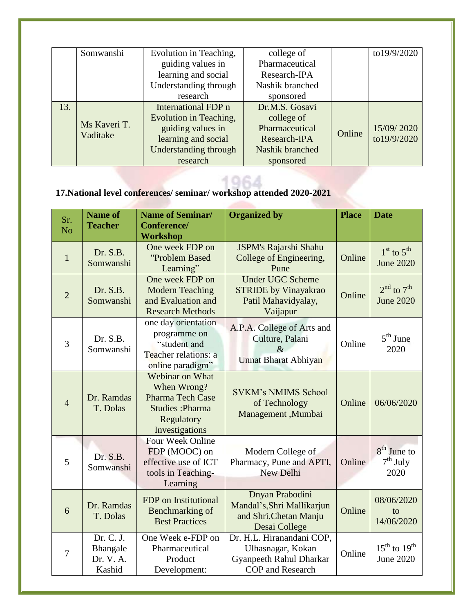|     | Evolution in Teaching,<br>Somwanshi |                              | college of      |        | to19/9/2020 |
|-----|-------------------------------------|------------------------------|-----------------|--------|-------------|
|     |                                     | guiding values in            | Pharmaceutical  |        |             |
|     |                                     | learning and social          | Research-IPA    |        |             |
|     |                                     | Understanding through        | Nashik branched |        |             |
|     |                                     | research                     | sponsored       |        |             |
| 13. |                                     | <b>International FDP</b> n   | Dr.M.S. Gosavi  |        |             |
|     |                                     | Evolution in Teaching,       | college of      |        |             |
|     | Ms Kaveri T.                        | guiding values in            | Pharmaceutical  | Online | 15/09/2020  |
|     | Vaditake                            | learning and social          | Research-IPA    |        | to19/9/2020 |
|     |                                     | <b>Understanding through</b> | Nashik branched |        |             |
|     |                                     | research                     | sponsored       |        |             |

 $1061$ 

# **17.National level conferences/ seminar/ workshop attended 2020-2021**

| Sr.<br>N <sub>o</sub> | <b>Name of</b><br><b>Teacher</b>             | <b>Name of Seminar/</b><br>Conference/<br><b>Workshop</b>                                                           | <b>Organized by</b>                                                                                  | <b>Place</b> | <b>Date</b>                                              |
|-----------------------|----------------------------------------------|---------------------------------------------------------------------------------------------------------------------|------------------------------------------------------------------------------------------------------|--------------|----------------------------------------------------------|
| $\mathbf{1}$          | Dr. S.B.<br>Somwanshi                        | One week FDP on<br>"Problem Based<br>Learning"                                                                      | JSPM's Rajarshi Shahu<br>College of Engineering,<br>Pune                                             | Online       | $1st$ to $5th$<br><b>June 2020</b>                       |
| $\overline{2}$        | Dr. S.B.<br>Somwanshi                        | One week FDP on<br><b>Modern Teaching</b><br>and Evaluation and<br><b>Research Methods</b>                          | <b>Under UGC Scheme</b><br><b>STRIDE</b> by Vinayakrao<br>Patil Mahavidyalay,<br>Vaijapur            | Online       | $2nd$ to $7th$<br><b>June 2020</b>                       |
| $\overline{3}$        | Dr. S.B.<br>Somwanshi                        | one day orientation<br>programme on<br>"student and<br>Teacher relations: a<br>online paradigm"                     | A.P.A. College of Arts and<br>Culture, Palani<br>$\&$<br>Unnat Bharat Abhiyan                        | Online       | $5th$ June<br>2020                                       |
| $\overline{4}$        | Dr. Ramdas<br>T. Dolas                       | Webinar on What<br>When Wrong?<br><b>Pharma Tech Case</b><br><b>Studies: Pharma</b><br>Regulatory<br>Investigations | <b>SVKM's NMIMS School</b><br>of Technology<br>Management, Mumbai                                    | Online       | 06/06/2020                                               |
| 5                     | Dr. S.B.<br>Somwanshi                        | Four Week Online<br>FDP (MOOC) on<br>effective use of ICT<br>tools in Teaching-<br>Learning                         | Modern College of<br>Pharmacy, Pune and APTI,<br>New Delhi                                           | Online       | $8th$ June to<br>$7th$ July<br>2020                      |
| 6                     | Dr. Ramdas<br>T. Dolas                       | FDP on Institutional<br>Benchmarking of<br><b>Best Practices</b>                                                    | Dnyan Prabodini<br>Mandal's, Shri Mallikarjun<br>and Shri.Chetan Manju<br>Desai College              | Online       | 08/06/2020<br>to<br>14/06/2020                           |
| $\overline{7}$        | Dr. C. J.<br>Bhangale<br>Dr. V. A.<br>Kashid | One Week e-FDP on<br>Pharmaceutical<br>Product<br>Development:                                                      | Dr. H.L. Hiranandani COP,<br>Ulhasnagar, Kokan<br>Gyanpeeth Rahul Dharkar<br><b>COP</b> and Research | Online       | $15^{\text{th}}$ to $19^{\text{th}}$<br><b>June 2020</b> |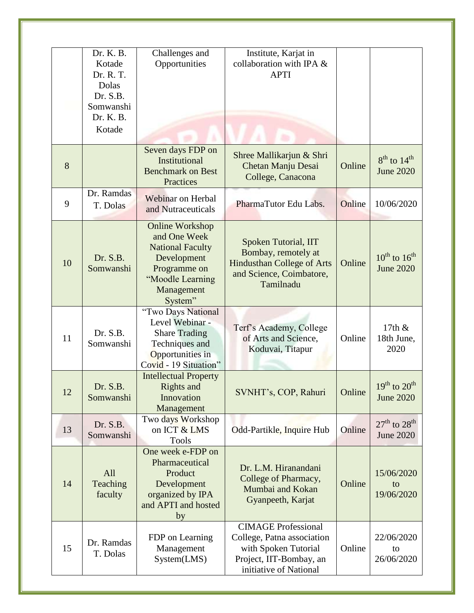|    | Dr. K. B.<br>Kotade<br>Dr. R. T.<br>Dolas<br>Dr. S.B.<br>Somwanshi<br>Dr. K. B.<br>Kotade | Challenges and<br>Opportunities                                                                                                               | Institute, Karjat in<br>collaboration with IPA &<br><b>APTI</b>                                                                       |        |                                            |
|----|-------------------------------------------------------------------------------------------|-----------------------------------------------------------------------------------------------------------------------------------------------|---------------------------------------------------------------------------------------------------------------------------------------|--------|--------------------------------------------|
| 8  |                                                                                           | Seven days FDP on<br>Institutional<br><b>Benchmark on Best</b><br>Practices                                                                   | Shree Mallikarjun & Shri<br>Chetan Manju Desai<br>College, Canacona                                                                   | Online | $8^{th}$ to $14^{th}$<br><b>June 2020</b>  |
| 9  | Dr. Ramdas<br>T. Dolas                                                                    | <b>Webinar on Herbal</b><br>and Nutraceuticals                                                                                                | PharmaTutor Edu Labs.                                                                                                                 | Online | 10/06/2020                                 |
| 10 | Dr. S.B.<br>Somwanshi                                                                     | <b>Online Workshop</b><br>and One Week<br><b>National Faculty</b><br>Development<br>Programme on<br>"Moodle Learning<br>Management<br>System" | Spoken Tutorial, IIT<br>Bombay, remotely at<br><b>Hindusthan College of Arts</b><br>and Science, Coimbatore,<br>Tamilnadu             | Online | $10^{th}$ to $16^{th}$<br><b>June 2020</b> |
| 11 | Dr. S.B.<br>Somwanshi                                                                     | "Two Days National<br>Level Webinar -<br><b>Share Trading</b><br>Techniques and<br>Opportunities in<br>Covid - 19 Situation"                  | Terf's Academy, College<br>of Arts and Science,<br>Koduvai, Titapur                                                                   | Online | 17th $\&$<br>18th June,<br>2020            |
| 12 | Dr. S.B.<br>Somwanshi                                                                     | <b>Intellectual Property</b><br>Rights and<br>Innovation<br>Management                                                                        | SVNHT's, COP, Rahuri                                                                                                                  | Online | $19^{th}$ to $20^{th}$<br><b>June 2020</b> |
| 13 | Dr. S.B.<br>Somwanshi                                                                     | Two days Workshop<br>on ICT & LMS<br><b>Tools</b>                                                                                             | Odd-Partikle, Inquire Hub                                                                                                             | Online | $27th$ to $28th$<br><b>June 2020</b>       |
| 14 | All<br>Teaching<br>faculty                                                                | One week e-FDP on<br>Pharmaceutical<br>Product<br>Development<br>organized by IPA<br>and APTI and hosted<br>by                                | Dr. L.M. Hiranandani<br>College of Pharmacy,<br>Mumbai and Kokan<br>Gyanpeeth, Karjat                                                 | Online | 15/06/2020<br>to<br>19/06/2020             |
| 15 | Dr. Ramdas<br>T. Dolas                                                                    | FDP on Learning<br>Management<br>System(LMS)                                                                                                  | <b>CIMAGE Professional</b><br>College, Patna association<br>with Spoken Tutorial<br>Project, IIT-Bombay, an<br>initiative of National | Online | 22/06/2020<br>to<br>26/06/2020             |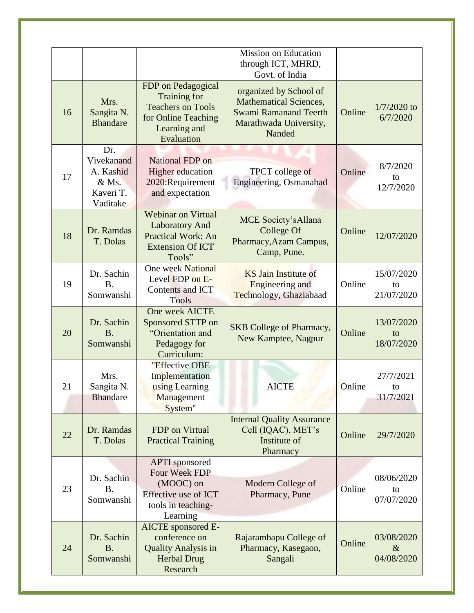|    |                                                                  |                                                                                                                     | <b>Mission on Education</b><br>through ICT, MHRD,<br>Govt. of India                                                         |        |                                  |
|----|------------------------------------------------------------------|---------------------------------------------------------------------------------------------------------------------|-----------------------------------------------------------------------------------------------------------------------------|--------|----------------------------------|
| 16 | Mrs.<br>Sangita N.<br><b>Bhandare</b>                            | FDP on Pedagogical<br>Training for<br><b>Teachers on Tools</b><br>for Online Teaching<br>Learning and<br>Evaluation | organized by School of<br><b>Mathematical Sciences,</b><br><b>Swami Ramanand Teerth</b><br>Marathwada University,<br>Nanded | Online | $1/7/2020$ to<br>6/7/2020        |
| 17 | Dr.<br>Vivekanand<br>A. Kashid<br>& Ms.<br>Kaveri T.<br>Vaditake | <b>National FDP</b> on<br><b>Higher</b> education<br>2020: Requirement<br>and expectation                           | TPCT college of<br>Engineering, Osmanabad                                                                                   | Online | 8/7/2020<br>to<br>12/7/2020      |
| 18 | Dr. Ramdas<br>T. Dolas                                           | <b>Webinar on Virtual</b><br><b>Laboratory And</b><br>Practical Work: An<br><b>Extension Of ICT</b><br>Tools"       | <b>MCE Society's Allana</b><br>College Of<br>Pharmacy, Azam Campus,<br>Camp, Pune.                                          | Online | 12/07/2020                       |
| 19 | Dr. Sachin<br><b>B.</b><br>Somwanshi                             | <b>One week National</b><br>Level FDP on E-<br><b>Contents and ICT</b><br><b>Tools</b>                              | <b>KS Jain Institute of</b><br><b>Engineering and</b><br>Technology, Ghaziabaad                                             | Online | 15/07/2020<br>to<br>21/07/2020   |
| 20 | Dr. Sachin<br><b>B.</b><br>Somwanshi                             | One week AICTE<br>Sponsored STTP on<br>"Orientation and<br>Pedagogy for<br>Curriculum:                              | <b>SKB</b> College of Pharmacy,<br>New Kamptee, Nagpur                                                                      | Online | 13/07/2020<br>to<br>18/07/2020   |
| 21 | Mrs.<br>Sangita N.<br><b>Bhandare</b>                            | "Effective OBE<br>Implementation<br>using Learning<br>Management<br>System"                                         | <b>AICTE</b>                                                                                                                | Online | 27/7/2021<br>to<br>31/7/2021     |
| 22 | Dr. Ramdas<br>T. Dolas                                           | FDP on Virtual<br><b>Practical Training</b>                                                                         | <b>Internal Quality Assurance</b><br>Cell (IQAC), MET's<br>Institute of<br>Pharmacy                                         | Online | 29/7/2020                        |
| 23 | Dr. Sachin<br><b>B.</b><br>Somwanshi                             | <b>APTI</b> sponsored<br>Four Week FDP<br>(MOOC) on<br>Effective use of ICT<br>tools in teaching-<br>Learning       | Modern College of<br>Pharmacy, Pune                                                                                         | Online | 08/06/2020<br>to<br>07/07/2020   |
| 24 | Dr. Sachin<br><b>B.</b><br>Somwanshi                             | <b>AICTE</b> sponsored E-<br>conference on<br><b>Quality Analysis in</b><br><b>Herbal Drug</b><br>Research          | Rajarambapu College of<br>Pharmacy, Kasegaon,<br>Sangali                                                                    | Online | 03/08/2020<br>$\&$<br>04/08/2020 |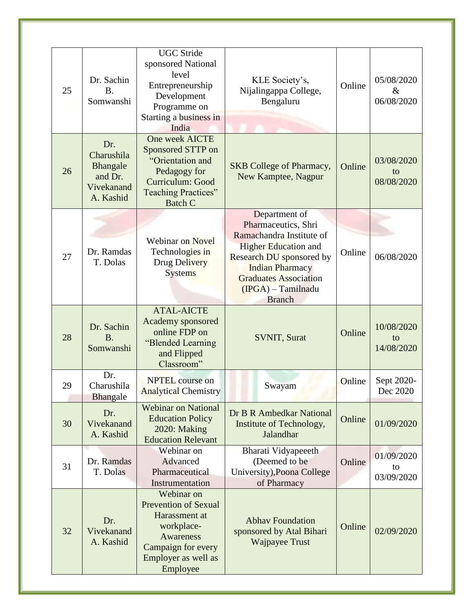| 25 | Dr. Sachin<br><b>B.</b><br>Somwanshi                                | <b>UGC</b> Stride<br>sponsored National<br>level<br>Entrepreneurship<br>Development<br>Programme on<br>Starting a business in<br>India                | KLE Society's,<br>Nijalingappa College,<br>Bengaluru                                                                                                                                                                           | Online | 05/08/2020<br>$\&$<br>06/08/2020 |
|----|---------------------------------------------------------------------|-------------------------------------------------------------------------------------------------------------------------------------------------------|--------------------------------------------------------------------------------------------------------------------------------------------------------------------------------------------------------------------------------|--------|----------------------------------|
| 26 | Dr.<br>Charushila<br>Bhangale<br>and Dr.<br>Vivekanand<br>A. Kashid | One week AICTE<br>Sponsored STTP on<br>"Orientation and<br>Pedagogy for<br>Curriculum: Good<br>Teaching Practices"<br><b>Batch C</b>                  | <b>SKB</b> College of Pharmacy,<br>New Kamptee, Nagpur                                                                                                                                                                         | Online | 03/08/2020<br>to<br>08/08/2020   |
| 27 | Dr. Ramdas<br>T. Dolas                                              | <b>Webinar on Novel</b><br>Technologies in<br>Drug Delivery<br><b>Systems</b>                                                                         | Department of<br>Pharmaceutics, Shri<br>Ramachandra Institute of<br><b>Higher Education and</b><br>Research DU sponsored by<br><b>Indian Pharmacy</b><br><b>Graduates Association</b><br>$(IPGA)$ – Tamilnadu<br><b>Branch</b> | Online | 06/08/2020                       |
| 28 | Dr. Sachin<br><b>B.</b><br>Somwanshi                                | <b>ATAL-AICTE</b><br>Academy sponsored<br>online FDP on<br>"Blended Learning<br>and Flipped<br>Classroom"                                             | <b>SVNIT, Surat</b>                                                                                                                                                                                                            | Online | 10/08/2020<br>to<br>14/08/2020   |
| 29 | Dr.<br>Charushila<br>Bhangale                                       | <b>NPTEL</b> course on<br><b>Analytical Chemistry</b>                                                                                                 | Swayam                                                                                                                                                                                                                         | Online | Sept 2020-<br>Dec 2020           |
| 30 | Dr.<br>Vivekanand<br>A. Kashid                                      | <b>Webinar on National</b><br><b>Education Policy</b><br>2020: Making<br><b>Education Relevant</b>                                                    | Dr B R Ambedkar National<br>Institute of Technology,<br>Jalandhar                                                                                                                                                              | Online | 01/09/2020                       |
| 31 | Dr. Ramdas<br>T. Dolas                                              | Webinar on<br>Advanced<br>Pharmaceutical<br>Instrumentation                                                                                           | Bharati Vidyapeeeth<br>(Deemed to be<br>University), Poona College<br>of Pharmacy                                                                                                                                              | Online | 01/09/2020<br>to<br>03/09/2020   |
| 32 | Dr.<br>Vivekanand<br>A. Kashid                                      | Webinar on<br><b>Prevention of Sexual</b><br>Harassment at<br>workplace-<br><b>Awareness</b><br>Campaign for every<br>Employer as well as<br>Employee | <b>Abhav Foundation</b><br>sponsored by Atal Bihari<br><b>Wajpayee Trust</b>                                                                                                                                                   | Online | 02/09/2020                       |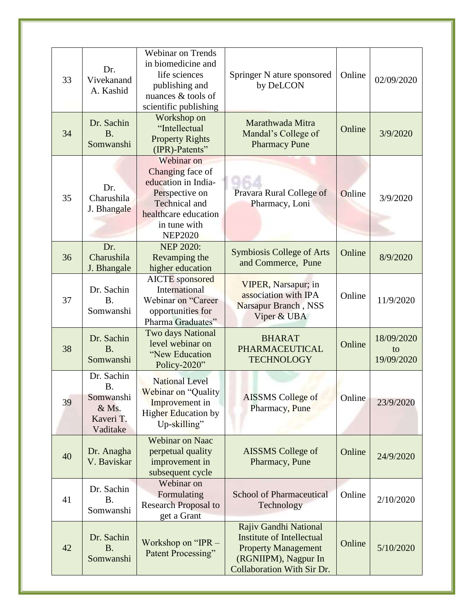| 33 | Dr.<br>Vivekanand<br>A. Kashid                                  | <b>Webinar on Trends</b><br>in biomedicine and<br>life sciences<br>publishing and<br>nuances & tools of<br>scientific publishing                          | Springer N ature sponsored<br>by DeLCON                                                                                                       | Online | 02/09/2020                     |
|----|-----------------------------------------------------------------|-----------------------------------------------------------------------------------------------------------------------------------------------------------|-----------------------------------------------------------------------------------------------------------------------------------------------|--------|--------------------------------|
| 34 | Dr. Sachin<br>B.<br>Somwanshi                                   | Workshop on<br>"Intellectual<br><b>Property Rights</b><br>(IPR)-Patents"                                                                                  | Marathwada Mitra<br>Mandal's College of<br><b>Pharmacy Pune</b>                                                                               | Online | 3/9/2020                       |
| 35 | Dr.<br>Charushila<br>J. Bhangale                                | Webinar on<br>Changing face of<br>education in India-<br>Perspective on<br><b>Technical</b> and<br>healthcare education<br>in tune with<br><b>NEP2020</b> | Pravara Rural College of<br>Pharmacy, Loni                                                                                                    | Online | 3/9/2020                       |
| 36 | Dr.<br>Charushila<br>J. Bhangale                                | <b>NEP 2020:</b><br>Revamping the<br>higher education                                                                                                     | <b>Symbiosis College of Arts</b><br>and Commerce, Pune                                                                                        | Online | 8/9/2020                       |
| 37 | Dr. Sachin<br><b>B.</b><br>Somwanshi                            | <b>AICTE</b> sponsored<br>International<br>Webinar on "Career<br>opportunities for<br>Pharma Graduates"                                                   | VIPER, Narsapur; in<br>association with IPA<br>Narsapur Branch, NSS<br>Viper & UBA                                                            | Online | 11/9/2020                      |
| 38 | Dr. Sachin<br><b>B.</b><br>Somwanshi                            | <b>Two days National</b><br>level webinar on<br>"New Education<br>Policy-2020"                                                                            | <b>BHARAT</b><br><b>PHARMACEUTICAL</b><br><b>TECHNOLOGY</b>                                                                                   | Online | 18/09/2020<br>to<br>19/09/2020 |
| 39 | Dr. Sachin<br>Β.<br>Somwanshi<br>& Ms.<br>Kaveri T.<br>Vaditake | <b>National Level</b><br>Webinar on "Quality<br>Improvement in<br><b>Higher Education by</b><br>Up-skilling"                                              | <b>AISSMS</b> College of<br>Pharmacy, Pune                                                                                                    | Online | 23/9/2020                      |
| 40 | Dr. Anagha<br>V. Baviskar                                       | <b>Webinar on Naac</b><br>perpetual quality<br>improvement in<br>subsequent cycle                                                                         | <b>AISSMS</b> College of<br>Pharmacy, Pune                                                                                                    | Online | 24/9/2020                      |
| 41 | Dr. Sachin<br><b>B.</b><br>Somwanshi                            | Webinar on<br>Formulating<br><b>Research Proposal to</b><br>get a Grant                                                                                   | <b>School of Pharmaceutical</b><br>Technology                                                                                                 | Online | 2/10/2020                      |
| 42 | Dr. Sachin<br><b>B.</b><br>Somwanshi                            | Workshop on "IPR -<br>Patent Processing"                                                                                                                  | Rajiv Gandhi National<br><b>Institute of Intellectual</b><br><b>Property Management</b><br>(RGNIIPM), Nagpur In<br>Collaboration With Sir Dr. | Online | 5/10/2020                      |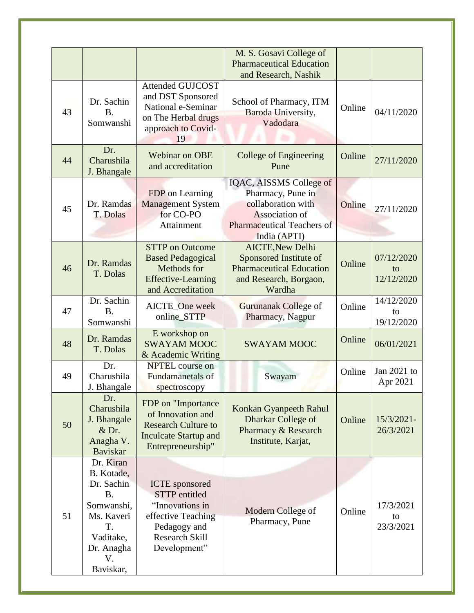|    |                                                                                                                                    |                                                                                                                                                 | M. S. Gosavi College of<br><b>Pharmaceutical Education</b><br>and Research, Nashik                                                        |        |                                |
|----|------------------------------------------------------------------------------------------------------------------------------------|-------------------------------------------------------------------------------------------------------------------------------------------------|-------------------------------------------------------------------------------------------------------------------------------------------|--------|--------------------------------|
| 43 | Dr. Sachin<br><b>B.</b><br>Somwanshi                                                                                               | <b>Attended GUJCOST</b><br>and DST Sponsored<br>National e-Seminar<br>on The Herbal drugs<br>approach to Covid-<br>19                           | School of Pharmacy, ITM<br>Baroda University,<br>Vadodara                                                                                 | Online | 04/11/2020                     |
| 44 | Dr.<br>Charushila<br>J. Bhangale                                                                                                   | <b>Webinar on OBE</b><br>and accreditation                                                                                                      | <b>College of Engineering</b><br>Pune                                                                                                     | Online | 27/11/2020                     |
| 45 | Dr. Ramdas<br>T. Dolas                                                                                                             | FDP on Learning<br><b>Management System</b><br>for CO-PO<br>Attainment                                                                          | IQAC, AISSMS College of<br>Pharmacy, Pune in<br>collaboration with<br>Association of<br><b>Pharmaceutical Teachers of</b><br>India (APTI) | Online | 27/11/2020                     |
| 46 | Dr. Ramdas<br>T. Dolas                                                                                                             | <b>STTP</b> on Outcome<br><b>Based Pedagogical</b><br>Methods for<br><b>Effective-Learning</b><br>and Accreditation                             | <b>AICTE, New Delhi</b><br>Sponsored Institute of<br><b>Pharmaceutical Education</b><br>and Research, Borgaon,<br>Wardha                  | Online | 07/12/2020<br>to<br>12/12/2020 |
| 47 | Dr. Sachin<br><b>B.</b><br>Somwanshi                                                                                               | AICTE_One week<br>online_STTP                                                                                                                   | Gurunanak College of<br>Pharmacy, Nagpur                                                                                                  | Online | 14/12/2020<br>to<br>19/12/2020 |
| 48 | Dr. Ramdas<br>T. Dolas                                                                                                             | E workshop on<br><b>SWAYAM MOOC</b><br>& Academic Writing                                                                                       | <b>SWAYAM MOOC</b>                                                                                                                        | Online | 06/01/2021                     |
| 49 | Dr.<br>Charushila<br>J. Bhangale                                                                                                   | <b>NPTEL</b> course on<br>Fundamanetals of<br>spectroscopy                                                                                      | Swayam                                                                                                                                    | Online | Jan 2021 to<br>Apr 2021        |
| 50 | Dr.<br>Charushila<br>J. Bhangale<br>$&$ Dr.<br>Anagha V.<br><b>Baviskar</b>                                                        | FDP on "Importance<br>of Innovation and<br><b>Research Culture to</b><br><b>Inculcate Startup and</b><br>Entrepreneurship"                      | Konkan Gyanpeeth Rahul<br>Dharkar College of<br>Pharmacy & Research<br>Institute, Karjat,                                                 | Online | 15/3/2021-<br>26/3/2021        |
| 51 | Dr. Kiran<br>B. Kotade,<br>Dr. Sachin<br><b>B.</b><br>Somwanshi,<br>Ms. Kaveri<br>T.<br>Vaditake,<br>Dr. Anagha<br>V.<br>Baviskar, | <b>ICTE</b> sponsored<br><b>STTP</b> entitled<br>"Innovations in<br>effective Teaching<br>Pedagogy and<br><b>Research Skill</b><br>Development" | Modern College of<br>Pharmacy, Pune                                                                                                       | Online | 17/3/2021<br>to<br>23/3/2021   |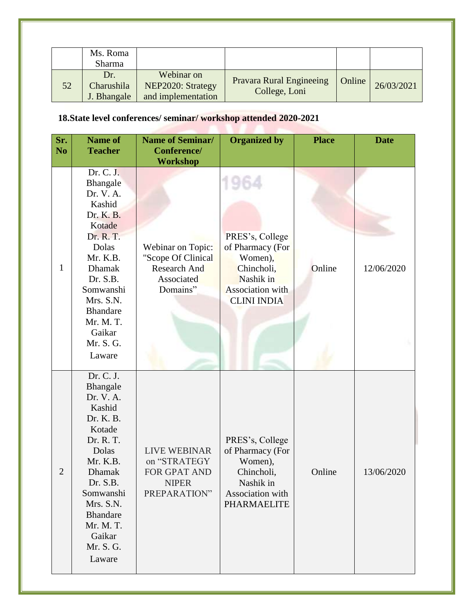|    | Ms. Roma<br>Sharma               |                                                       |                                           |        |            |
|----|----------------------------------|-------------------------------------------------------|-------------------------------------------|--------|------------|
| 52 | Dr.<br>Charushila<br>J. Bhangale | Webinar on<br>NEP2020: Strategy<br>and implementation | Pravara Rural Engineeing<br>College, Loni | Online | 26/03/2021 |

# **18.State level conferences/ seminar/ workshop attended 2020-2021**

| Sr.<br>N <sub>o</sub> | <b>Name of</b><br><b>Teacher</b>                                                                                                                                                                                              | <b>Name of Seminar/</b><br>Conference/                                                   | <b>Organized by</b>                                                                                                 | <b>Place</b> | <b>Date</b> |
|-----------------------|-------------------------------------------------------------------------------------------------------------------------------------------------------------------------------------------------------------------------------|------------------------------------------------------------------------------------------|---------------------------------------------------------------------------------------------------------------------|--------------|-------------|
|                       |                                                                                                                                                                                                                               | <b>Workshop</b>                                                                          |                                                                                                                     |              |             |
| $\mathbf{1}$          | Dr. C. J.<br>Bhangale<br>Dr. V. A.<br>Kashid<br>Dr. K. B.<br>Kotade<br>Dr. R. T.<br>Dolas<br>Mr. K.B.<br><b>Dhamak</b><br>Dr. S.B.<br>Somwanshi<br>Mrs. S.N.<br><b>Bhandare</b><br>Mr. M. T.                                  | Webinar on Topic:<br>"Scope Of Clinical<br><b>Research And</b><br>Associated<br>Domains" | PRES's, College<br>of Pharmacy (For<br>Women),<br>Chincholi,<br>Nashik in<br>Association with<br><b>CLINI INDIA</b> | Online       | 12/06/2020  |
|                       | Gaikar<br>Mr. S. G.<br>Laware                                                                                                                                                                                                 |                                                                                          |                                                                                                                     |              |             |
| $\overline{2}$        | Dr. C. J.<br>Bhangale<br>Dr. V. A.<br>Kashid<br>Dr. K. B.<br>Kotade<br>Dr. R. T.<br>Dolas<br>Mr. K.B.<br><b>Dhamak</b><br>Dr. S.B.<br>Somwanshi<br>Mrs. S.N.<br><b>Bhandare</b><br>Mr. M. T.<br>Gaikar<br>Mr. S. G.<br>Laware | <b>LIVE WEBINAR</b><br>on "STRATEGY<br>FOR GPAT AND<br><b>NIPER</b><br>PREPARATION"      | PRES's, College<br>of Pharmacy (For<br>Women),<br>Chincholi,<br>Nashik in<br>Association with<br><b>PHARMAELITE</b> | Online       | 13/06/2020  |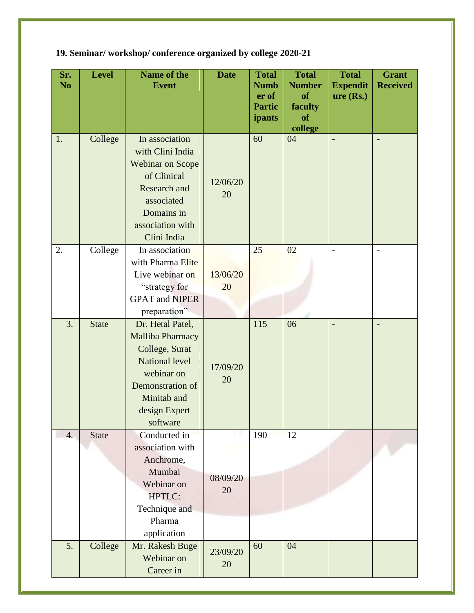| Sr.<br>N <sub>o</sub> | Level        | Name of the<br><b>Event</b>                                                                                                                                   | <b>Date</b>    | <b>Total</b><br><b>Numb</b><br>er of<br><b>Partic</b><br>ipants | <b>Total</b><br><b>Number</b><br>of<br>faculty<br>of | <b>Total</b><br><b>Expendit</b><br>$ure$ (Rs.) | <b>Grant</b><br><b>Received</b> |
|-----------------------|--------------|---------------------------------------------------------------------------------------------------------------------------------------------------------------|----------------|-----------------------------------------------------------------|------------------------------------------------------|------------------------------------------------|---------------------------------|
|                       |              |                                                                                                                                                               |                |                                                                 | college                                              |                                                |                                 |
| 1.                    | College      | In association<br>with Clini India<br><b>Webinar on Scope</b><br>of Clinical<br>Research and<br>associated<br>Domains in<br>association with<br>Clini India   | 12/06/20<br>20 | 60                                                              | 04                                                   | $\overline{\phantom{0}}$                       | $\overline{\phantom{0}}$        |
| 2.                    | College      | In association<br>with Pharma Elite<br>Live webinar on<br>"strategy for<br><b>GPAT</b> and <b>NIPER</b><br>preparation"                                       | 13/06/20<br>20 | 25                                                              | 02                                                   | $\overline{a}$                                 | $\qquad \qquad -$               |
| 3.                    | <b>State</b> | Dr. Hetal Patel,<br>Malliba Pharmacy<br>College, Surat<br><b>National level</b><br>webinar on<br>Demonstration of<br>Minitab and<br>design Expert<br>software | 17/09/20<br>20 | 115                                                             | 06                                                   | $\overline{a}$                                 |                                 |
| $\overline{4}$ .      | <b>State</b> | Conducted in<br>association with<br>Anchrome,<br>Mumbai<br>Webinar on<br><b>HPTLC:</b><br>Technique and<br>Pharma<br>application                              | 08/09/20<br>20 | 190                                                             | 12                                                   |                                                |                                 |
| 5.                    | College      | Mr. Rakesh Buge<br>Webinar on<br>Career in                                                                                                                    | 23/09/20<br>20 | 60                                                              | 04                                                   |                                                |                                 |

**19. Seminar/ workshop/ conference organized by college 2020-21**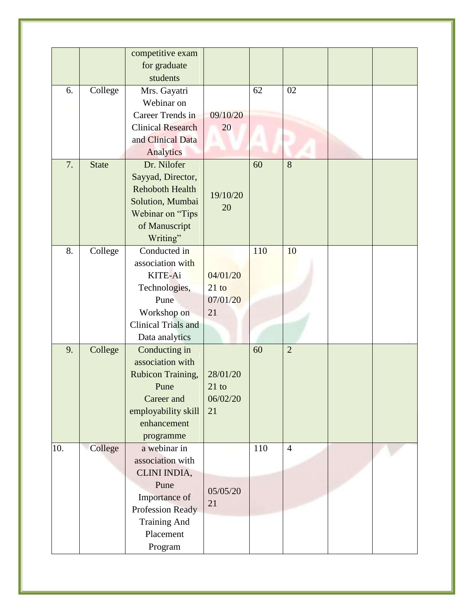|     |              | competitive exam           |                 |     |                |  |
|-----|--------------|----------------------------|-----------------|-----|----------------|--|
|     |              | for graduate               |                 |     |                |  |
|     |              | students                   |                 |     |                |  |
| 6.  | College      | Mrs. Gayatri               |                 | 62  | 02             |  |
|     |              | Webinar on                 |                 |     |                |  |
|     |              | Career Trends in           | 09/10/20        |     |                |  |
|     |              | <b>Clinical Research</b>   | 20              |     |                |  |
|     |              | and Clinical Data          |                 |     |                |  |
|     |              | Analytics                  |                 |     |                |  |
| 7.  | <b>State</b> | Dr. Nilofer                |                 | 60  | 8              |  |
|     |              | Sayyad, Director,          |                 |     |                |  |
|     |              | <b>Rehoboth Health</b>     |                 |     |                |  |
|     |              | Solution, Mumbai           | 19/10/20        |     |                |  |
|     |              | Webinar on "Tips           | 20              |     |                |  |
|     |              | of Manuscript              |                 |     |                |  |
|     |              | Writing"                   |                 |     |                |  |
| 8.  | College      | Conducted in               |                 | 110 | 10             |  |
|     |              | association with           |                 |     |                |  |
|     |              | KITE-Ai                    | 04/01/20        |     |                |  |
|     |              | Technologies,              | $21$ to         |     |                |  |
|     |              | Pune                       | 07/01/20        |     |                |  |
|     |              | Workshop on                | 21              |     |                |  |
|     |              | <b>Clinical Trials and</b> |                 |     |                |  |
|     |              | Data analytics             |                 |     |                |  |
| 9.  | College      | Conducting in              |                 | 60  | $\overline{2}$ |  |
|     |              | association with           |                 |     |                |  |
|     |              | Rubicon Training,          | 28/01/20        |     |                |  |
|     |              | Pune                       | $21 \text{ to}$ |     |                |  |
|     |              | Career and                 | 06/02/20        |     |                |  |
|     |              | employability skill        | 21              |     |                |  |
|     |              | enhancement                |                 |     |                |  |
|     |              | programme                  |                 |     |                |  |
| 10. | College      | a webinar in               |                 | 110 | $\overline{4}$ |  |
|     |              | association with           |                 |     |                |  |
|     |              | CLINI INDIA,               |                 |     |                |  |
|     |              | Pune                       |                 |     |                |  |
|     |              | Importance of              | 05/05/20        |     |                |  |
|     |              | Profession Ready           | 21              |     |                |  |
|     |              | <b>Training And</b>        |                 |     |                |  |
|     |              | Placement                  |                 |     |                |  |
|     |              | Program                    |                 |     |                |  |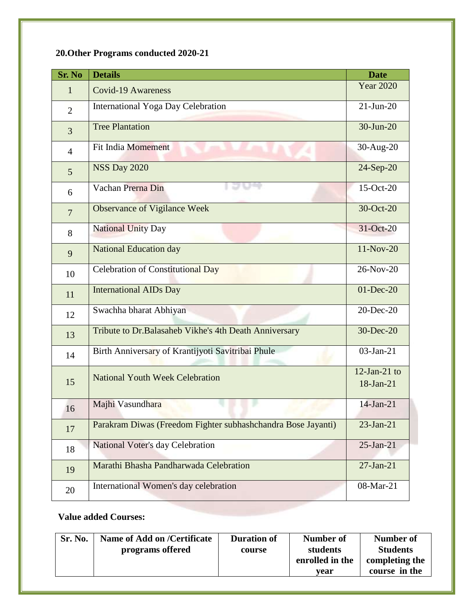# **20.Other Programs conducted 2020-21**

| <b>Sr. No</b>  | <b>Details</b>                                               | <b>Date</b>                  |
|----------------|--------------------------------------------------------------|------------------------------|
| $\mathbf{1}$   | <b>Covid-19 Awareness</b>                                    | <b>Year 2020</b>             |
| $\overline{2}$ | International Yoga Day Celebration                           | $21-Jun-20$                  |
| 3              | <b>Tree Plantation</b>                                       | 30-Jun-20                    |
| $\overline{4}$ | <b>Fit India Momement</b>                                    | 30-Aug-20                    |
| 5 <sup>5</sup> | <b>NSS Day 2020</b>                                          | 24-Sep-20                    |
| 6              | Vachan Prerna Din                                            | 15-Oct-20                    |
| $\overline{7}$ | <b>Observance of Vigilance Week</b>                          | 30-Oct-20                    |
| 8              | <b>National Unity Day</b>                                    | 31-Oct-20                    |
| 9              | <b>National Education day</b>                                | $11-Nov-20$                  |
| 10             | Celebration of Constitutional Day                            | 26-Nov-20                    |
| 11             | <b>International AIDs Day</b>                                | $01$ -Dec-20                 |
| 12             | Swachha bharat Abhiyan                                       | 20-Dec-20                    |
| 13             | Tribute to Dr. Balasaheb Vikhe's 4th Death Anniversary       | 30-Dec-20                    |
| 14             | Birth Anniversary of Krantijyoti Savitribai Phule            | 03-Jan-21                    |
| 15             | <b>National Youth Week Celebration</b>                       | $12$ -Jan-21 to<br>18-Jan-21 |
|                | Majhi Vasundhara                                             | $14$ -Jan-21                 |
| 16             | Parakram Diwas (Freedom Fighter subhashchandra Bose Jayanti) | $23$ -Jan-21                 |
| 17             |                                                              |                              |
| 18             | National Voter's day Celebration                             | $25$ -Jan-21                 |
| 19             | Marathi Bhasha Pandharwada Celebration                       | $27-Ian-21$                  |
| 20             | International Women's day celebration                        | 08-Mar-21                    |

#### **Value added Courses:**

| Sr. No. | Name of Add on /Certificate<br>programs offered | <b>Duration of</b><br>course | Number of<br>students<br>enrolled in the | Number of<br><b>Students</b><br>completing the |  |
|---------|-------------------------------------------------|------------------------------|------------------------------------------|------------------------------------------------|--|
|         |                                                 |                              | vear                                     | course in the                                  |  |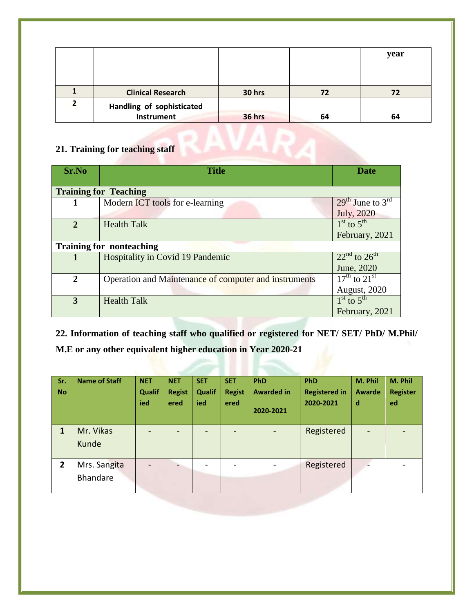|   |                           |        |    | year |
|---|---------------------------|--------|----|------|
|   |                           |        |    |      |
|   | <b>Clinical Research</b>  | 30 hrs | 72 | 72   |
| 2 | Handling of sophisticated |        |    |      |
|   | <b>Instrument</b>         | 36 hrs | 64 | 64   |

#### **21. Training for teaching staff**

| Sr.No          | <b>Title</b>                                          | <b>Date</b>                          |  |
|----------------|-------------------------------------------------------|--------------------------------------|--|
|                | <b>Training for Teaching</b>                          |                                      |  |
|                | Modern ICT tools for e-learning                       | $29th$ June to $3rd$                 |  |
|                |                                                       | July, 2020                           |  |
| $\overline{2}$ | <b>Health Talk</b>                                    | $1st$ to $5th$                       |  |
|                |                                                       | February, 2021                       |  |
|                | <b>Training for nonteaching</b>                       |                                      |  |
|                | Hospitality in Covid 19 Pandemic                      | $22nd$ to $26th$                     |  |
|                |                                                       | June, 2020                           |  |
| $\mathbf{2}$   | Operation and Maintenance of computer and instruments | $17^{\text{th}}$ to $21^{\text{st}}$ |  |
|                |                                                       | August, 2020                         |  |
| 3              | <b>Health Talk</b>                                    | $1st$ to $5th$                       |  |
|                |                                                       | February, 2021                       |  |

**22. Information of teaching staff who qualified or registered for NET/ SET/ PhD/ M.Phil/ M.E or any other equivalent higher education in Year 2020-21**

| Sr.<br><b>No</b> | <b>Name of Staff</b>     | <b>NET</b><br>Qualif<br>ied | <b>NET</b><br><b>Regist</b><br>ered | <b>SET</b><br>Qualif<br>ied | <b>SET</b><br><b>Regist</b><br>ered | PhD<br><b>Awarded in</b><br>2020-2021 | PhD<br><b>Registered in</b><br>2020-2021 | M. Phil<br><b>Awarde</b><br>d | M. Phil<br><b>Register</b><br>ed |
|------------------|--------------------------|-----------------------------|-------------------------------------|-----------------------------|-------------------------------------|---------------------------------------|------------------------------------------|-------------------------------|----------------------------------|
| 1                | Mr. Vikas<br>Kunde       |                             |                                     |                             |                                     |                                       | Registered                               |                               |                                  |
| $\overline{2}$   | Mrs. Sangita<br>Bhandare |                             |                                     |                             |                                     |                                       | Registered                               |                               |                                  |